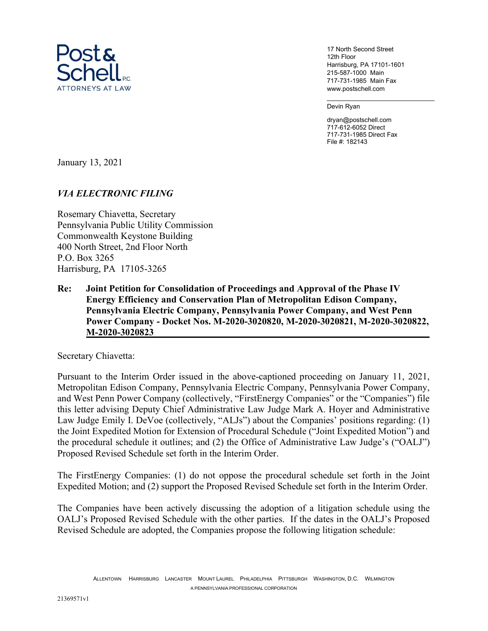

17 North Second Street 12th Floor Harrisburg, PA 17101-1601 215-587-1000 Main 717-731-1985 Main Fax www.postschell.com

Devin Ryan

dryan@postschell.com 717-612-6052 Direct 717-731-1985 Direct Fax File #: 182143

January 13, 2021

## VIA ELECTRONIC FILING

Rosemary Chiavetta, Secretary Pennsylvania Public Utility Commission Commonwealth Keystone Building 400 North Street, 2nd Floor North P.O. Box 3265 Harrisburg, PA 17105-3265

Re: Joint Petition for Consolidation of Proceedings and Approval of the Phase IV Energy Efficiency and Conservation Plan of Metropolitan Edison Company, Pennsylvania Electric Company, Pennsylvania Power Company, and West Penn Power Company - Docket Nos. M-2020-3020820, M-2020-3020821, M-2020-3020822, M-2020-3020823

Secretary Chiavetta:

Pursuant to the Interim Order issued in the above-captioned proceeding on January 11, 2021, Metropolitan Edison Company, Pennsylvania Electric Company, Pennsylvania Power Company, and West Penn Power Company (collectively, "FirstEnergy Companies" or the "Companies") file this letter advising Deputy Chief Administrative Law Judge Mark A. Hoyer and Administrative Law Judge Emily I. DeVoe (collectively, "ALJs") about the Companies' positions regarding: (1) the Joint Expedited Motion for Extension of Procedural Schedule ("Joint Expedited Motion") and the procedural schedule it outlines; and (2) the Office of Administrative Law Judge's ("OALJ") Proposed Revised Schedule set forth in the Interim Order.

The FirstEnergy Companies: (1) do not oppose the procedural schedule set forth in the Joint Expedited Motion; and (2) support the Proposed Revised Schedule set forth in the Interim Order.

The Companies have been actively discussing the adoption of a litigation schedule using the OALJ's Proposed Revised Schedule with the other parties. If the dates in the OALJ's Proposed Revised Schedule are adopted, the Companies propose the following litigation schedule: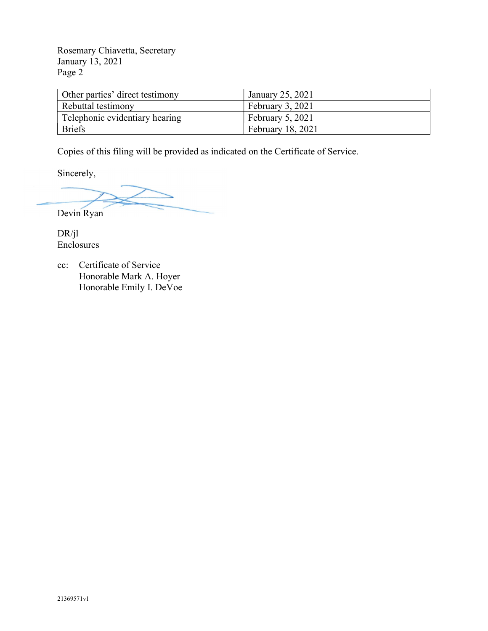Rosemary Chiavetta, Secretary January 13, 2021 Page 2

| Other parties' direct testimony | January 25, 2021  |
|---------------------------------|-------------------|
| Rebuttal testimony              | February 3, 2021  |
| Telephonic evidentiary hearing  | February 5, 2021  |
| <b>Briefs</b>                   | February 18, 2021 |

Copies of this filing will be provided as indicated on the Certificate of Service.

Sincerely,

Devin Ryan

DR/jl Enclosures

cc: Certificate of Service Honorable Mark A. Hoyer Honorable Emily I. DeVoe